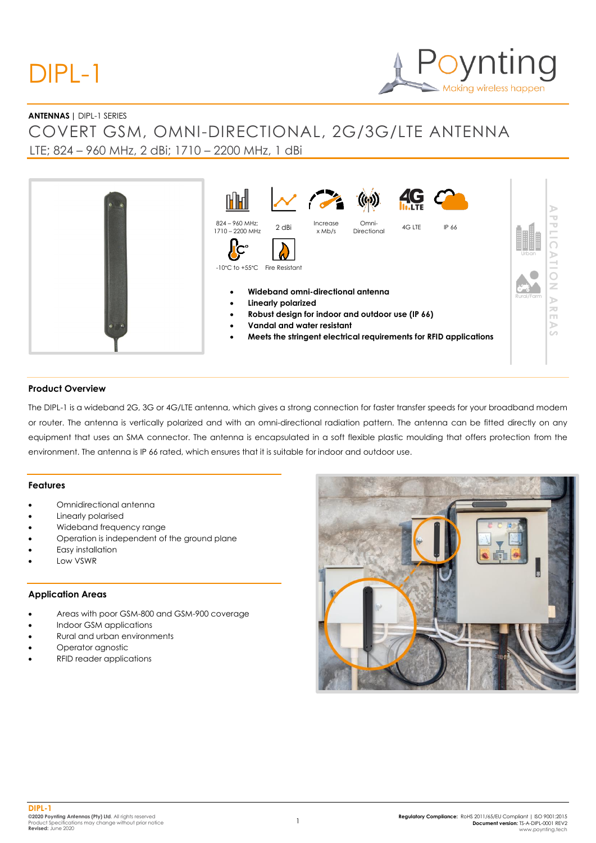## DIPL-1

# Making wireless happen

#### **ANTENNAS |** DIPL-1 SERIES

### COVERT GSM, OMNI-DIRECTIONAL, 2G/3G/LTE ANTENNA LTE; 824 – 960 MHz, 2 dBi; 1710 – 2200 MHz, 1 dBi



#### **Product Overview**

The DIPL-1 is a wideband 2G, 3G or 4G/LTE antenna, which gives a strong connection for faster transfer speeds for your broadband modem or router. The antenna is vertically polarized and with an omni-directional radiation pattern. The antenna can be fitted directly on any equipment that uses an SMA connector. The antenna is encapsulated in a soft flexible plastic moulding that offers protection from the environment. The antenna is IP 66 rated, which ensures that it is suitable for indoor and outdoor use.

#### **Features**

- Omnidirectional antenna
- Linearly polarised
- Wideband frequency range
- Operation is independent of the ground plane
- Easy installation
- Low VSWR

#### **Application Areas**

- Areas with poor GSM-800 and GSM-900 coverage
- Indoor GSM applications
- Rural and urban environments
- Operator agnostic
- RFID reader applications

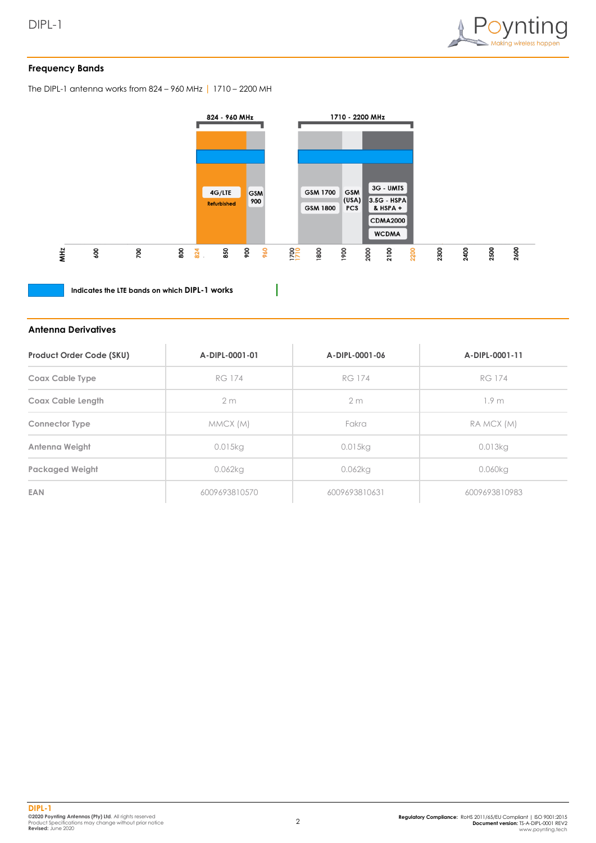

#### **Frequency Bands**

The DIPL-1 antenna works from 824 – 960 MHz | 1710 – 2200 MH



 $\overline{\phantom{a}}$ 

**Indicates the LTE bands on which DIPL-1 works**

#### **Antenna Derivatives**

| <b>Product Order Code (SKU)</b> | A-DIPL-0001-01 | A-DIPL-0001-06 | A-DIPL-0001-11   |
|---------------------------------|----------------|----------------|------------------|
| <b>Coax Cable Type</b>          | <b>RG 174</b>  | <b>RG 174</b>  | <b>RG 174</b>    |
| Coax Cable Length               | 2 <sub>m</sub> | 2 <sub>m</sub> | 1.9 <sub>m</sub> |
| <b>Connector Type</b>           | MMCX (M)       | Fakra          | RA MCX (M)       |
| Antenna Weight                  | 0.015kg        | 0.015kg        | 0.013kg          |
| <b>Packaged Weight</b>          | 0.062kg        | 0.062kg        | 0.060kg          |
| <b>EAN</b>                      | 6009693810570  | 6009693810631  | 6009693810983    |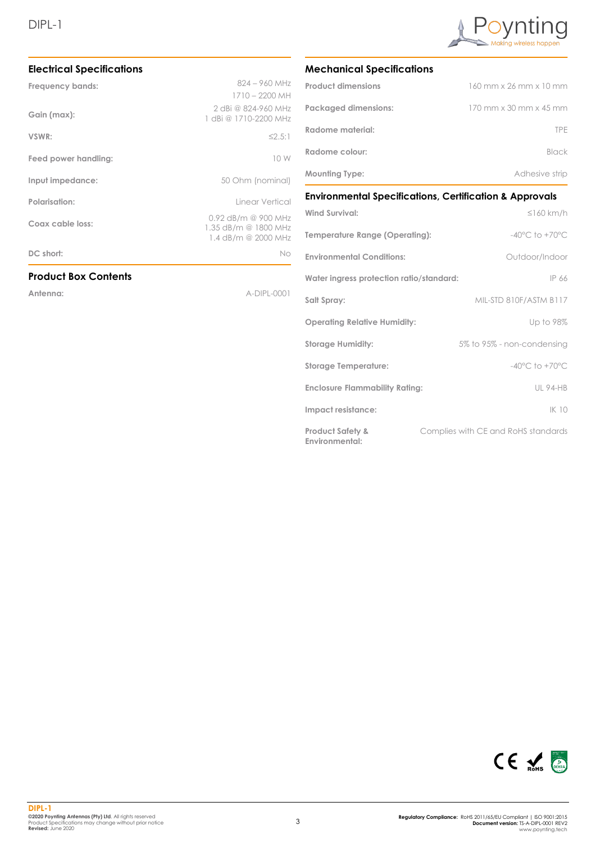#### **Electrical Specifications**

| Frequency bands:            | 824 - 960 MHz                                                      |
|-----------------------------|--------------------------------------------------------------------|
|                             | 1710 - 2200 MH                                                     |
| Gain (max):                 | 2 dBi @ 824-960 MHz<br>1 dBi @ 1710-2200 MHz                       |
| VSWR:                       | $\leq$ 2.5:1                                                       |
| Feed power handling:        | 10 W                                                               |
| Input impedance:            | 50 Ohm (nominal)                                                   |
| Polarisation:               | Linear Vertical                                                    |
| Coax cable loss:            | 0.92 dB/m @ 900 MHz<br>1.35 dB/m @ 1800 MHz<br>1.4 dB/m @ 2000 MHz |
| DC short:                   | No                                                                 |
| <b>Product Box Contents</b> |                                                                    |
| Antenna:                    | A-DIPL-0001                                                        |
|                             |                                                                    |
|                             |                                                                    |
|                             |                                                                    |



#### **Mechanical Specifications**

| <b>Product dimensions</b>   | 160 mm x 26 mm x 10 mm                 |
|-----------------------------|----------------------------------------|
| <b>Packaged dimensions:</b> | $170$ mm $\times$ 30 mm $\times$ 45 mm |
| Radome material:            | <b>TPF</b>                             |
| Radome colour:              | <b>Black</b>                           |
| <b>Mounting Type:</b>       | Adhesive strip                         |

#### **Environmental Specifications, Certification & Approvals**

| <b>Wind Survival:</b>                         | $\leq$ 160 km/h                     |
|-----------------------------------------------|-------------------------------------|
| Temperature Range (Operating):                | $-40^{\circ}$ C to $+70^{\circ}$ C  |
| <b>Environmental Conditions:</b>              | Outdoor/Indoor                      |
| Water ingress protection ratio/standard:      | IP 66                               |
| Salt Spray:                                   | MIL-STD 810F/ASTM B117              |
| <b>Operating Relative Humidity:</b>           | Up to 98%                           |
| <b>Storage Humidity:</b>                      | 5% to 95% - non-condensing          |
| <b>Storage Temperature:</b>                   | $-40^{\circ}$ C to $+70^{\circ}$ C  |
| <b>Enclosure Flammability Rating:</b>         | <b>UL 94-HB</b>                     |
| Impact resistance:                            | IK 10                               |
| <b>Product Safety &amp;</b><br>Environmental: | Complies with CE and RoHS standards |

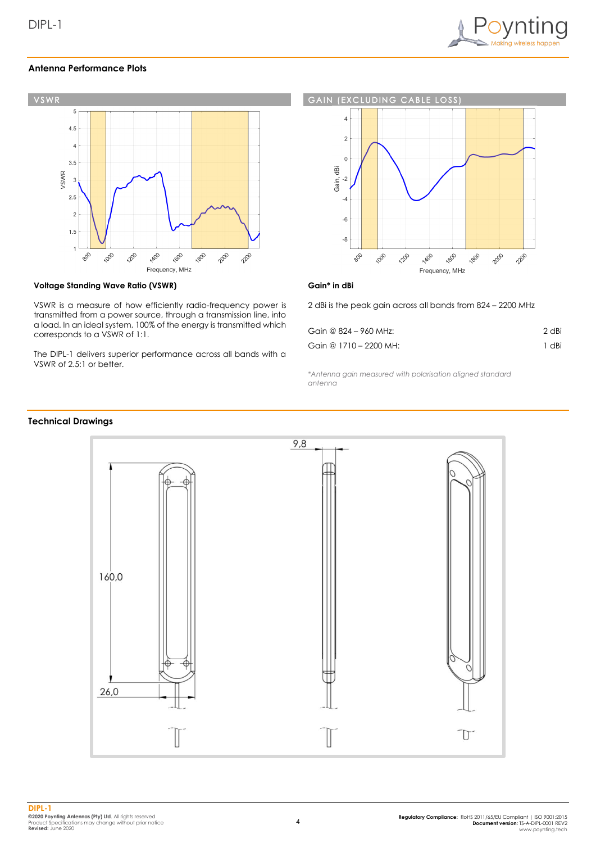

#### **Antenna Performance Plots**



#### **Voltage Standing Wave Ratio (VSWR)**

VSWR is a measure of how efficiently radio-frequency power is transmitted from a power source, through a transmission line, into a load. In an ideal system, 100% of the energy is transmitted which corresponds to a VSWR of 1:1.

The DIPL-1 delivers superior performance across all bands with a VSWR of 2.5:1 or better.



#### **Gain\* in dBi**

2 dBi is the peak gain across all bands from 824 – 2200 MHz

| Gain @ 824 - 960 MHz:  | 2 dBi |
|------------------------|-------|
| Gain @ 1710 - 2200 MH: | 1 dBi |

*\*Antenna gain measured with polarisation aligned standard antenna*

#### **Technical Drawings**

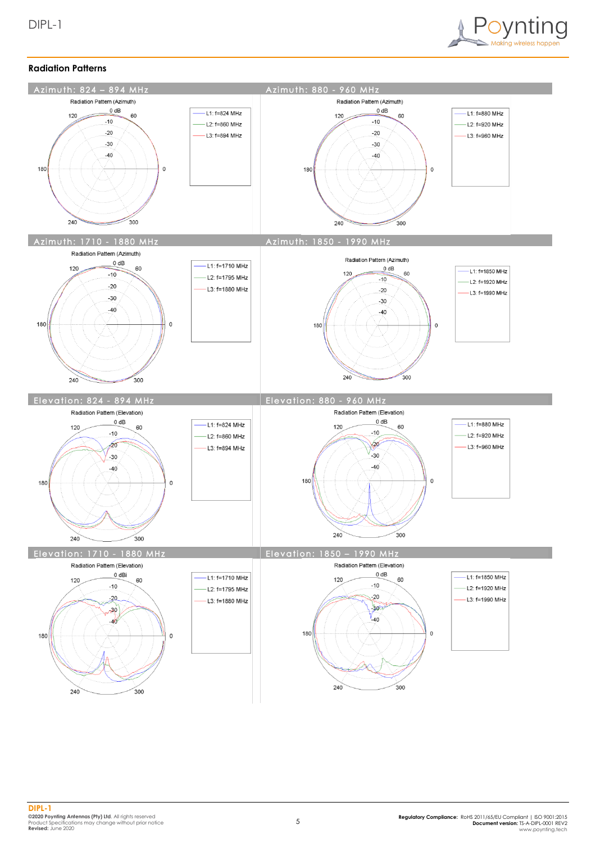

#### **Radiation Patterns**